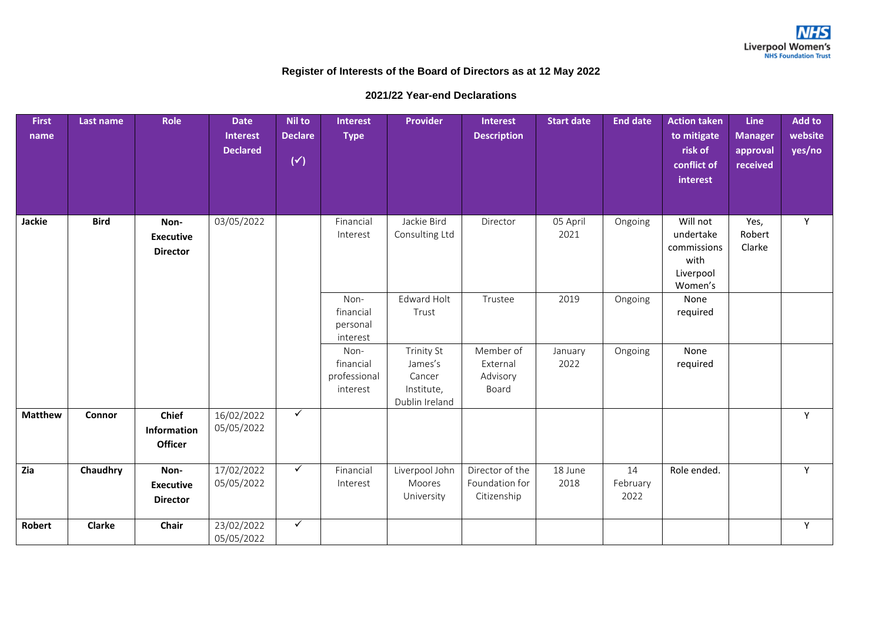## **Register of Interests of the Board of Directors as at 12 May 2022**

## **2021/22 Year-end Declarations**

| <b>First</b><br>name | Last name     | Role                                          | <b>Date</b><br><b>Interest</b><br><b>Declared</b> | <b>Nil to</b><br><b>Declare</b><br>$(\checkmark)$ | <b>Interest</b><br><b>Type</b>                | Provider                                                               | <b>Interest</b><br><b>Description</b>            | <b>Start date</b> | <b>End date</b>        | <b>Action taken</b><br>to mitigate<br>risk of<br>conflict of<br>interest | <b>Line</b><br><b>Manager</b><br>approval<br>received | <b>Add to</b><br>website<br>yes/no |
|----------------------|---------------|-----------------------------------------------|---------------------------------------------------|---------------------------------------------------|-----------------------------------------------|------------------------------------------------------------------------|--------------------------------------------------|-------------------|------------------------|--------------------------------------------------------------------------|-------------------------------------------------------|------------------------------------|
| Jackie               | <b>Bird</b>   | Non-<br><b>Executive</b><br><b>Director</b>   | 03/05/2022                                        |                                                   | Financial<br>Interest                         | Jackie Bird<br>Consulting Ltd                                          | Director                                         | 05 April<br>2021  | Ongoing                | Will not<br>undertake<br>commissions<br>with<br>Liverpool<br>Women's     | Yes,<br>Robert<br>Clarke                              | Y                                  |
|                      |               |                                               |                                                   |                                                   | Non-<br>financial<br>personal<br>interest     | Edward Holt<br>Trust                                                   | Trustee                                          | 2019              | Ongoing                | None<br>required                                                         |                                                       |                                    |
|                      |               |                                               |                                                   |                                                   | Non-<br>financial<br>professional<br>interest | <b>Trinity St</b><br>James's<br>Cancer<br>Institute,<br>Dublin Ireland | Member of<br>External<br>Advisory<br>Board       | January<br>2022   | Ongoing                | None<br>required                                                         |                                                       |                                    |
| <b>Matthew</b>       | Connor        | <b>Chief</b><br>Information<br><b>Officer</b> | 16/02/2022<br>05/05/2022                          | $\checkmark$                                      |                                               |                                                                        |                                                  |                   |                        |                                                                          |                                                       | Y                                  |
| Zia                  | Chaudhry      | Non-<br><b>Executive</b><br><b>Director</b>   | 17/02/2022<br>05/05/2022                          | $\checkmark$                                      | Financial<br>Interest                         | Liverpool John<br>Moores<br>University                                 | Director of the<br>Foundation for<br>Citizenship | 18 June<br>2018   | 14<br>February<br>2022 | Role ended.                                                              |                                                       | Y                                  |
| <b>Robert</b>        | <b>Clarke</b> | Chair                                         | 23/02/2022<br>05/05/2022                          | $\checkmark$                                      |                                               |                                                                        |                                                  |                   |                        |                                                                          |                                                       | Y                                  |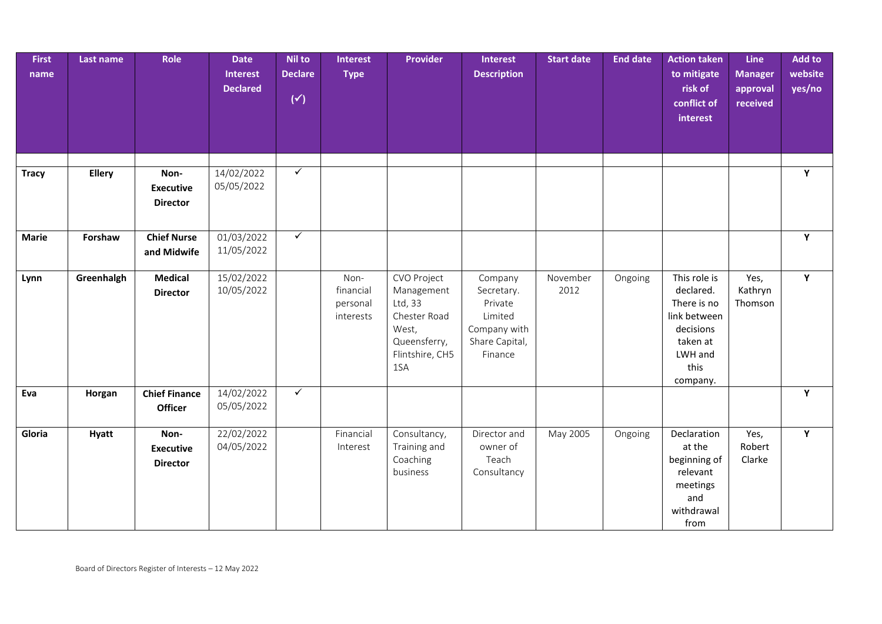| <b>First</b><br>name | Last name     | Role                                        | <b>Date</b><br><b>Interest</b><br><b>Declared</b> | <b>Nil to</b><br><b>Declare</b><br>$(\checkmark)$ | <b>Interest</b><br><b>Type</b>             | <b>Provider</b>                                                                                         | <b>Interest</b><br><b>Description</b>                                                    | <b>Start date</b> | <b>End date</b> | <b>Action taken</b><br>to mitigate<br>risk of<br>conflict of<br>interest                                         | <b>Line</b><br><b>Manager</b><br>approval<br>received | Add to<br>website<br>yes/no |
|----------------------|---------------|---------------------------------------------|---------------------------------------------------|---------------------------------------------------|--------------------------------------------|---------------------------------------------------------------------------------------------------------|------------------------------------------------------------------------------------------|-------------------|-----------------|------------------------------------------------------------------------------------------------------------------|-------------------------------------------------------|-----------------------------|
| <b>Tracy</b>         | <b>Ellery</b> | Non-                                        | 14/02/2022                                        | $\checkmark$                                      |                                            |                                                                                                         |                                                                                          |                   |                 |                                                                                                                  |                                                       | Υ                           |
|                      |               | <b>Executive</b><br><b>Director</b>         | 05/05/2022                                        |                                                   |                                            |                                                                                                         |                                                                                          |                   |                 |                                                                                                                  |                                                       |                             |
| <b>Marie</b>         | Forshaw       | <b>Chief Nurse</b><br>and Midwife           | 01/03/2022<br>11/05/2022                          | $\checkmark$                                      |                                            |                                                                                                         |                                                                                          |                   |                 |                                                                                                                  |                                                       | Υ                           |
| Lynn                 | Greenhalgh    | <b>Medical</b><br><b>Director</b>           | 15/02/2022<br>10/05/2022                          |                                                   | Non-<br>financial<br>personal<br>interests | CVO Project<br>Management<br>Ltd, 33<br>Chester Road<br>West,<br>Queensferry,<br>Flintshire, CH5<br>1SA | Company<br>Secretary.<br>Private<br>Limited<br>Company with<br>Share Capital,<br>Finance | November<br>2012  | Ongoing         | This role is<br>declared.<br>There is no<br>link between<br>decisions<br>taken at<br>LWH and<br>this<br>company. | Yes,<br>Kathryn<br>Thomson                            | Y                           |
| Eva                  | Horgan        | <b>Chief Finance</b><br><b>Officer</b>      | 14/02/2022<br>05/05/2022                          | $\checkmark$                                      |                                            |                                                                                                         |                                                                                          |                   |                 |                                                                                                                  |                                                       | Y                           |
| Gloria               | <b>Hyatt</b>  | Non-<br><b>Executive</b><br><b>Director</b> | 22/02/2022<br>04/05/2022                          |                                                   | Financial<br>Interest                      | Consultancy,<br>Training and<br>Coaching<br>business                                                    | Director and<br>owner of<br>Teach<br>Consultancy                                         | May 2005          | Ongoing         | Declaration<br>at the<br>beginning of<br>relevant<br>meetings<br>and<br>withdrawal<br>from                       | Yes,<br>Robert<br>Clarke                              | Y                           |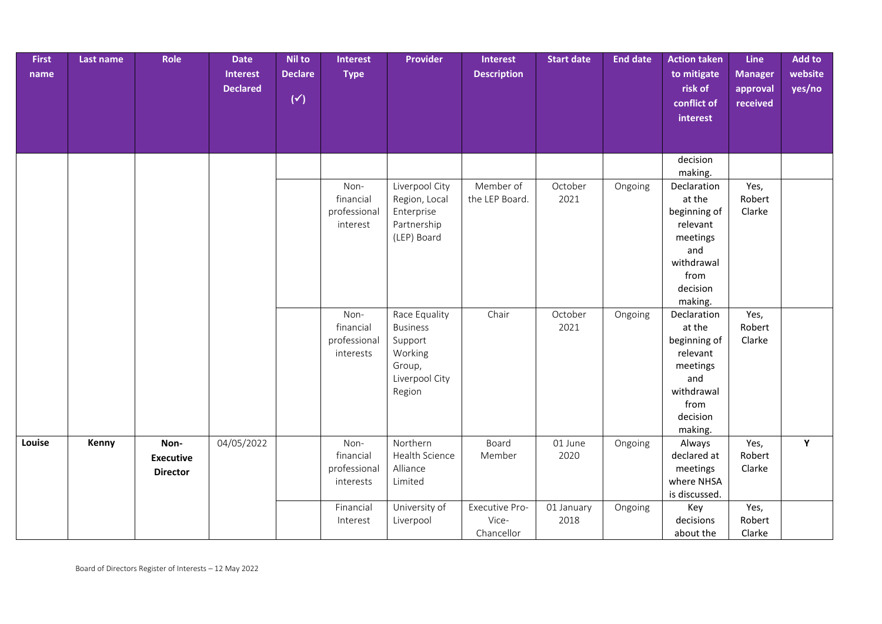| <b>First</b> | Last name | Role             | <b>Date</b>     | <b>Nil to</b>  | <b>Interest</b> | <b>Provider</b>          | Interest           | <b>Start date</b> | <b>End date</b> | <b>Action taken</b> | Line           | <b>Add to</b> |
|--------------|-----------|------------------|-----------------|----------------|-----------------|--------------------------|--------------------|-------------------|-----------------|---------------------|----------------|---------------|
| name         |           |                  | <b>Interest</b> | <b>Declare</b> | <b>Type</b>     |                          | <b>Description</b> |                   |                 | to mitigate         | <b>Manager</b> | website       |
|              |           |                  | <b>Declared</b> |                |                 |                          |                    |                   |                 | risk of             | approval       | yes/no        |
|              |           |                  |                 | $(\checkmark)$ |                 |                          |                    |                   |                 | conflict of         | received       |               |
|              |           |                  |                 |                |                 |                          |                    |                   |                 | interest            |                |               |
|              |           |                  |                 |                |                 |                          |                    |                   |                 |                     |                |               |
|              |           |                  |                 |                |                 |                          |                    |                   |                 |                     |                |               |
|              |           |                  |                 |                |                 |                          |                    |                   |                 | decision            |                |               |
|              |           |                  |                 |                |                 |                          |                    |                   |                 | making.             |                |               |
|              |           |                  |                 |                | Non-            | Liverpool City           | Member of          | October           | Ongoing         | Declaration         | Yes,           |               |
|              |           |                  |                 |                | financial       | Region, Local            | the LEP Board.     | 2021              |                 | at the              | Robert         |               |
|              |           |                  |                 |                | professional    | Enterprise               |                    |                   |                 | beginning of        | Clarke         |               |
|              |           |                  |                 |                | interest        | Partnership              |                    |                   |                 | relevant            |                |               |
|              |           |                  |                 |                |                 | (LEP) Board              |                    |                   |                 | meetings            |                |               |
|              |           |                  |                 |                |                 |                          |                    |                   |                 | and                 |                |               |
|              |           |                  |                 |                |                 |                          |                    |                   |                 | withdrawal          |                |               |
|              |           |                  |                 |                |                 |                          |                    |                   |                 | from                |                |               |
|              |           |                  |                 |                |                 |                          |                    |                   |                 | decision            |                |               |
|              |           |                  |                 |                |                 |                          |                    |                   |                 | making.             |                |               |
|              |           |                  |                 |                | Non-            | Race Equality            | Chair              | October           | Ongoing         | Declaration         | Yes,           |               |
|              |           |                  |                 |                | financial       | <b>Business</b>          |                    | 2021              |                 | at the              | Robert         |               |
|              |           |                  |                 |                | professional    | Support                  |                    |                   |                 | beginning of        | Clarke         |               |
|              |           |                  |                 |                | interests       | Working                  |                    |                   |                 | relevant            |                |               |
|              |           |                  |                 |                |                 | Group,<br>Liverpool City |                    |                   |                 | meetings<br>and     |                |               |
|              |           |                  |                 |                |                 |                          |                    |                   |                 | withdrawal          |                |               |
|              |           |                  |                 |                |                 | Region                   |                    |                   |                 | from                |                |               |
|              |           |                  |                 |                |                 |                          |                    |                   |                 | decision            |                |               |
|              |           |                  |                 |                |                 |                          |                    |                   |                 | making.             |                |               |
| Louise       | Kenny     | Non-             | 04/05/2022      |                | Non-            | Northern                 | Board              | 01 June           | Ongoing         | Always              | Yes,           | Y             |
|              |           | <b>Executive</b> |                 |                | financial       | Health Science           | Member             | 2020              |                 | declared at         | Robert         |               |
|              |           |                  |                 |                | professional    | Alliance                 |                    |                   |                 | meetings            | Clarke         |               |
|              |           | <b>Director</b>  |                 |                | interests       | Limited                  |                    |                   |                 | where NHSA          |                |               |
|              |           |                  |                 |                |                 |                          |                    |                   |                 | is discussed.       |                |               |
|              |           |                  |                 |                | Financial       | University of            | Executive Pro-     | 01 January        | Ongoing         | Key                 | Yes,           |               |
|              |           |                  |                 |                | Interest        | Liverpool                | Vice-              | 2018              |                 | decisions           | Robert         |               |
|              |           |                  |                 |                |                 |                          | Chancellor         |                   |                 | about the           | Clarke         |               |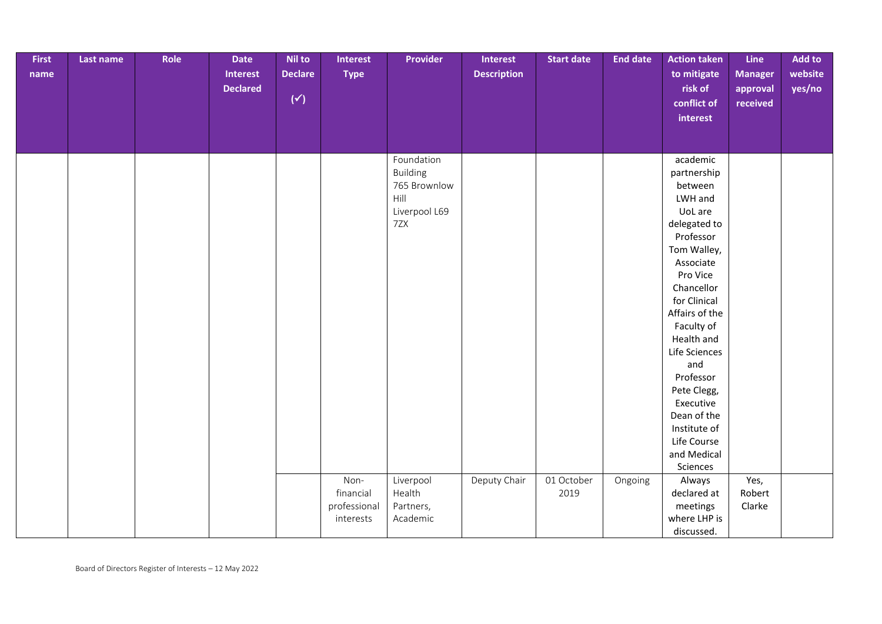| First | Last name | Role | <b>Date</b>     | Nil to         | <b>Interest</b> | Provider                      | <b>Interest</b>    | <b>Start date</b> | <b>End date</b> | <b>Action taken</b>    | Line           | <b>Add to</b> |
|-------|-----------|------|-----------------|----------------|-----------------|-------------------------------|--------------------|-------------------|-----------------|------------------------|----------------|---------------|
| name  |           |      | Interest        | <b>Declare</b> | <b>Type</b>     |                               | <b>Description</b> |                   |                 | to mitigate            | <b>Manager</b> | website       |
|       |           |      | <b>Declared</b> |                |                 |                               |                    |                   |                 | risk of                | approval       | yes/no        |
|       |           |      |                 | $(\checkmark)$ |                 |                               |                    |                   |                 | conflict of            | received       |               |
|       |           |      |                 |                |                 |                               |                    |                   |                 | interest               |                |               |
|       |           |      |                 |                |                 |                               |                    |                   |                 |                        |                |               |
|       |           |      |                 |                |                 |                               |                    |                   |                 |                        |                |               |
|       |           |      |                 |                |                 |                               |                    |                   |                 |                        |                |               |
|       |           |      |                 |                |                 | Foundation<br><b>Building</b> |                    |                   |                 | academic               |                |               |
|       |           |      |                 |                |                 | 765 Brownlow                  |                    |                   |                 | partnership<br>between |                |               |
|       |           |      |                 |                |                 | Hill                          |                    |                   |                 | LWH and                |                |               |
|       |           |      |                 |                |                 | Liverpool L69                 |                    |                   |                 | UoL are                |                |               |
|       |           |      |                 |                |                 | 7ZX                           |                    |                   |                 | delegated to           |                |               |
|       |           |      |                 |                |                 |                               |                    |                   |                 | Professor              |                |               |
|       |           |      |                 |                |                 |                               |                    |                   |                 | Tom Walley,            |                |               |
|       |           |      |                 |                |                 |                               |                    |                   |                 | Associate              |                |               |
|       |           |      |                 |                |                 |                               |                    |                   |                 | Pro Vice               |                |               |
|       |           |      |                 |                |                 |                               |                    |                   |                 | Chancellor             |                |               |
|       |           |      |                 |                |                 |                               |                    |                   |                 | for Clinical           |                |               |
|       |           |      |                 |                |                 |                               |                    |                   |                 | Affairs of the         |                |               |
|       |           |      |                 |                |                 |                               |                    |                   |                 | Faculty of             |                |               |
|       |           |      |                 |                |                 |                               |                    |                   |                 | Health and             |                |               |
|       |           |      |                 |                |                 |                               |                    |                   |                 | Life Sciences          |                |               |
|       |           |      |                 |                |                 |                               |                    |                   |                 | and                    |                |               |
|       |           |      |                 |                |                 |                               |                    |                   |                 | Professor              |                |               |
|       |           |      |                 |                |                 |                               |                    |                   |                 | Pete Clegg,            |                |               |
|       |           |      |                 |                |                 |                               |                    |                   |                 | Executive              |                |               |
|       |           |      |                 |                |                 |                               |                    |                   |                 | Dean of the            |                |               |
|       |           |      |                 |                |                 |                               |                    |                   |                 | Institute of           |                |               |
|       |           |      |                 |                |                 |                               |                    |                   |                 | Life Course            |                |               |
|       |           |      |                 |                |                 |                               |                    |                   |                 | and Medical            |                |               |
|       |           |      |                 |                |                 |                               |                    |                   |                 | Sciences               |                |               |
|       |           |      |                 |                | Non-            | Liverpool                     | Deputy Chair       | 01 October        | Ongoing         | Always                 | Yes,           |               |
|       |           |      |                 |                | financial       | Health                        |                    | 2019              |                 | declared at            | Robert         |               |
|       |           |      |                 |                | professional    | Partners,                     |                    |                   |                 | meetings               | Clarke         |               |
|       |           |      |                 |                | interests       | Academic                      |                    |                   |                 | where LHP is           |                |               |
|       |           |      |                 |                |                 |                               |                    |                   |                 | discussed.             |                |               |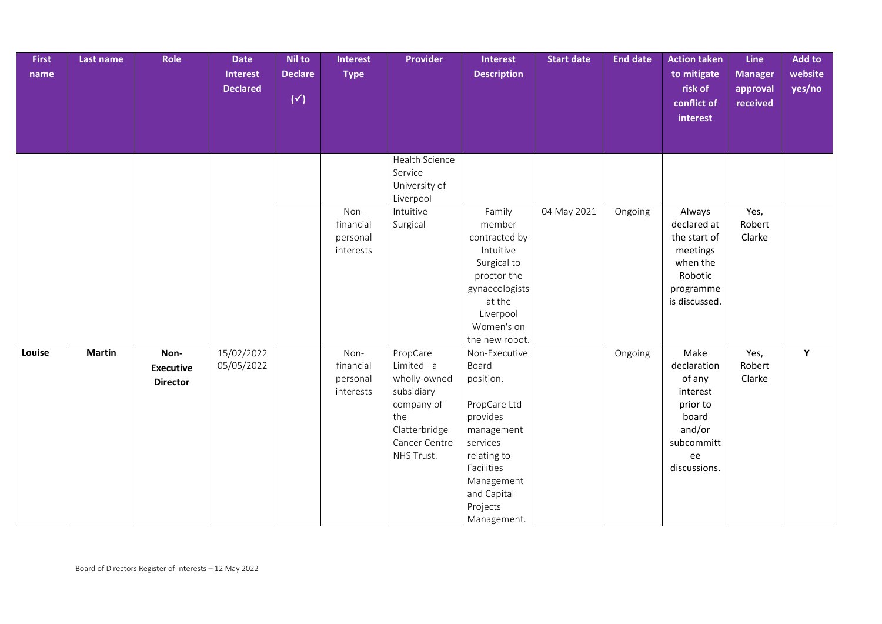| <b>First</b><br>name | Last name     | Role                                        | <b>Date</b><br>Interest<br><b>Declared</b> | <b>Nil to</b><br><b>Declare</b><br>$(\checkmark)$ | Interest<br><b>Type</b>                    | <b>Provider</b>                                                                                                            | Interest<br><b>Description</b>                                                                                                                                                 | <b>Start date</b> | <b>End date</b> | <b>Action taken</b><br>to mitigate<br>risk of<br>conflict of<br>interest                                     | <b>Line</b><br><b>Manager</b><br>approval<br>received | Add to<br>website<br>yes/no |
|----------------------|---------------|---------------------------------------------|--------------------------------------------|---------------------------------------------------|--------------------------------------------|----------------------------------------------------------------------------------------------------------------------------|--------------------------------------------------------------------------------------------------------------------------------------------------------------------------------|-------------------|-----------------|--------------------------------------------------------------------------------------------------------------|-------------------------------------------------------|-----------------------------|
|                      |               |                                             |                                            |                                                   |                                            | Health Science<br>Service<br>University of<br>Liverpool                                                                    |                                                                                                                                                                                |                   |                 |                                                                                                              |                                                       |                             |
|                      |               |                                             |                                            |                                                   | Non-<br>financial<br>personal<br>interests | Intuitive<br>Surgical                                                                                                      | Family<br>member<br>contracted by<br>Intuitive<br>Surgical to<br>proctor the<br>gynaecologists<br>at the<br>Liverpool<br>Women's on<br>the new robot.                          | 04 May 2021       | Ongoing         | Always<br>declared at<br>the start of<br>meetings<br>when the<br>Robotic<br>programme<br>is discussed.       | Yes,<br>Robert<br>Clarke                              |                             |
| Louise               | <b>Martin</b> | Non-<br><b>Executive</b><br><b>Director</b> | 15/02/2022<br>05/05/2022                   |                                                   | Non-<br>financial<br>personal<br>interests | PropCare<br>Limited - a<br>wholly-owned<br>subsidiary<br>company of<br>the<br>Clatterbridge<br>Cancer Centre<br>NHS Trust. | Non-Executive<br>Board<br>position.<br>PropCare Ltd<br>provides<br>management<br>services<br>relating to<br>Facilities<br>Management<br>and Capital<br>Projects<br>Management. |                   | Ongoing         | Make<br>declaration<br>of any<br>interest<br>prior to<br>board<br>and/or<br>subcommitt<br>ee<br>discussions. | Yes,<br>Robert<br>Clarke                              | Y                           |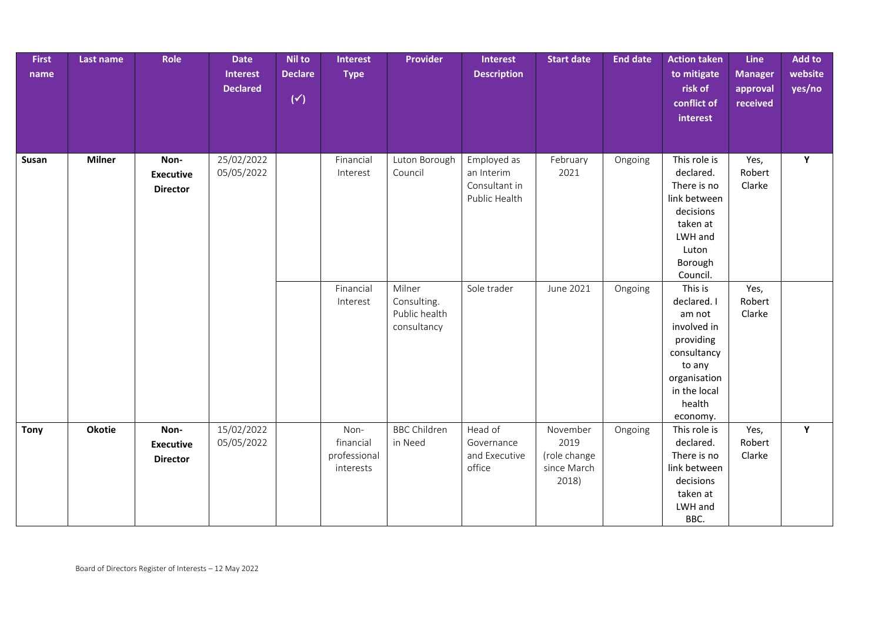| <b>First</b><br>name | Last name     | Role                                        | <b>Date</b><br>Interest<br><b>Declared</b> | <b>Nil to</b><br><b>Declare</b><br>$(\check{y})$ | Interest<br><b>Type</b>                        | <b>Provider</b>                                       | Interest<br><b>Description</b>                              | <b>Start date</b>                                        | <b>End date</b> | <b>Action taken</b><br>to mitigate<br>risk of<br>conflict of<br>interest                                                                    | Line<br><b>Manager</b><br>approval<br>received | Add to<br>website<br>yes/no |
|----------------------|---------------|---------------------------------------------|--------------------------------------------|--------------------------------------------------|------------------------------------------------|-------------------------------------------------------|-------------------------------------------------------------|----------------------------------------------------------|-----------------|---------------------------------------------------------------------------------------------------------------------------------------------|------------------------------------------------|-----------------------------|
| Susan                | <b>Milner</b> | Non-<br><b>Executive</b><br><b>Director</b> | 25/02/2022<br>05/05/2022                   |                                                  | Financial<br>Interest                          | Luton Borough<br>Council                              | Employed as<br>an Interim<br>Consultant in<br>Public Health | February<br>2021                                         | Ongoing         | This role is<br>declared.<br>There is no<br>link between<br>decisions<br>taken at<br>LWH and<br>Luton<br>Borough<br>Council.                | Yes,<br>Robert<br>Clarke                       | Y                           |
|                      |               |                                             |                                            |                                                  | Financial<br>Interest                          | Milner<br>Consulting.<br>Public health<br>consultancy | Sole trader                                                 | June 2021                                                | Ongoing         | This is<br>declared. I<br>am not<br>involved in<br>providing<br>consultancy<br>to any<br>organisation<br>in the local<br>health<br>economy. | Yes,<br>Robert<br>Clarke                       |                             |
| <b>Tony</b>          | <b>Okotie</b> | Non-<br><b>Executive</b><br><b>Director</b> | 15/02/2022<br>05/05/2022                   |                                                  | Non-<br>financial<br>professional<br>interests | <b>BBC Children</b><br>in Need                        | Head of<br>Governance<br>and Executive<br>office            | November<br>2019<br>(role change<br>since March<br>2018) | Ongoing         | This role is<br>declared.<br>There is no<br>link between<br>decisions<br>taken at<br>LWH and<br>BBC.                                        | Yes,<br>Robert<br>Clarke                       | Y                           |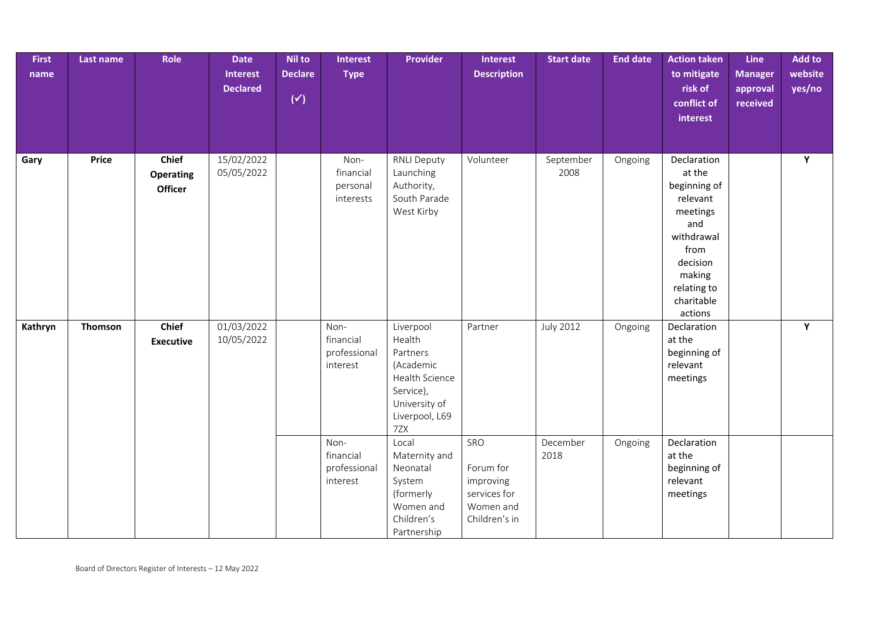| <b>First</b><br>name | Last name    | Role                                        | <b>Date</b><br><b>Interest</b><br><b>Declared</b> | <b>Nil to</b><br><b>Declare</b><br>$(\check{y})$ | <b>Interest</b><br><b>Type</b>                | <b>Provider</b>                                                                                                       | <b>Interest</b><br><b>Description</b>                                       | <b>Start date</b> | <b>End date</b> | <b>Action taken</b><br>to mitigate<br>risk of<br>conflict of<br>interest                                                                                 | Line<br><b>Manager</b><br>approval<br>received | Add to<br>website<br>yes/no |
|----------------------|--------------|---------------------------------------------|---------------------------------------------------|--------------------------------------------------|-----------------------------------------------|-----------------------------------------------------------------------------------------------------------------------|-----------------------------------------------------------------------------|-------------------|-----------------|----------------------------------------------------------------------------------------------------------------------------------------------------------|------------------------------------------------|-----------------------------|
| Gary                 | <b>Price</b> | <b>Chief</b><br><b>Operating</b><br>Officer | 15/02/2022<br>05/05/2022                          |                                                  | Non-<br>financial<br>personal<br>interests    | <b>RNLI Deputy</b><br>Launching<br>Authority,<br>South Parade<br>West Kirby                                           | Volunteer                                                                   | September<br>2008 | Ongoing         | Declaration<br>at the<br>beginning of<br>relevant<br>meetings<br>and<br>withdrawal<br>from<br>decision<br>making<br>relating to<br>charitable<br>actions |                                                | Y                           |
| Kathryn              | Thomson      | Chief<br><b>Executive</b>                   | 01/03/2022<br>10/05/2022                          |                                                  | Non-<br>financial<br>professional<br>interest | Liverpool<br>Health<br>Partners<br>(Academic<br>Health Science<br>Service),<br>University of<br>Liverpool, L69<br>7ZX | Partner                                                                     | <b>July 2012</b>  | Ongoing         | Declaration<br>at the<br>beginning of<br>relevant<br>meetings                                                                                            |                                                | Y                           |
|                      |              |                                             |                                                   |                                                  | Non-<br>financial<br>professional<br>interest | Local<br>Maternity and<br>Neonatal<br>System<br>(formerly<br>Women and<br>Children's<br>Partnership                   | SRO<br>Forum for<br>improving<br>services for<br>Women and<br>Children's in | December<br>2018  | Ongoing         | Declaration<br>at the<br>beginning of<br>relevant<br>meetings                                                                                            |                                                |                             |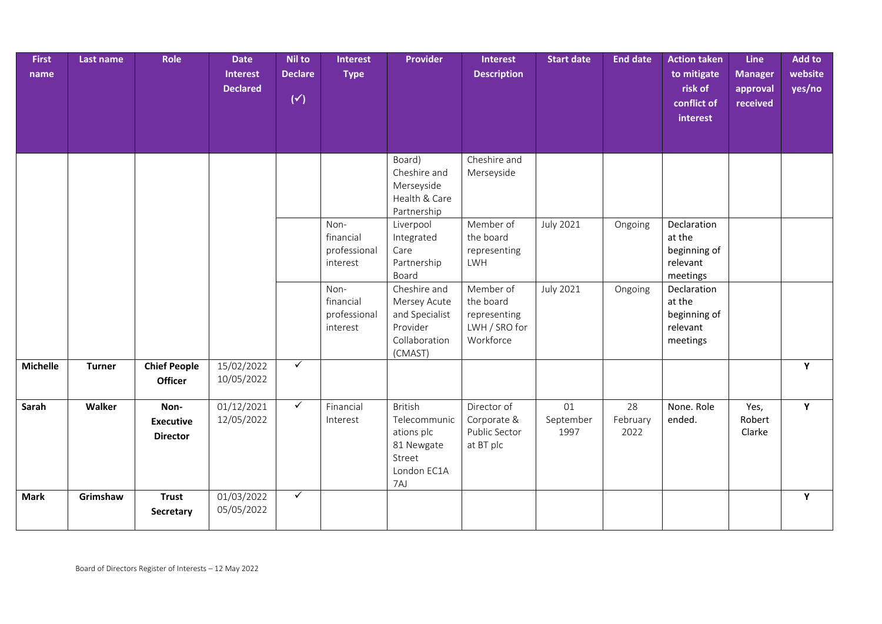| <b>First</b><br>name | Last name     | Role                                        | <b>Date</b><br><b>Interest</b><br><b>Declared</b> | <b>Nil to</b><br><b>Declare</b><br>$(\check{y})$ | <b>Interest</b><br><b>Type</b>                | <b>Provider</b>                                                                            | <b>Interest</b><br><b>Description</b>                                | <b>Start date</b>       | <b>End date</b>        | <b>Action taken</b><br>to mitigate<br>risk of<br>conflict of<br>interest | Line<br><b>Manager</b><br>approval<br>received | Add to<br>website<br>yes/no |
|----------------------|---------------|---------------------------------------------|---------------------------------------------------|--------------------------------------------------|-----------------------------------------------|--------------------------------------------------------------------------------------------|----------------------------------------------------------------------|-------------------------|------------------------|--------------------------------------------------------------------------|------------------------------------------------|-----------------------------|
|                      |               |                                             |                                                   |                                                  |                                               | Board)<br>Cheshire and<br>Merseyside<br>Health & Care                                      | Cheshire and<br>Merseyside                                           |                         |                        |                                                                          |                                                |                             |
|                      |               |                                             |                                                   |                                                  | Non-<br>financial<br>professional<br>interest | Partnership<br>Liverpool<br>Integrated<br>Care<br>Partnership<br>Board                     | Member of<br>the board<br>representing<br>LWH                        | <b>July 2021</b>        | Ongoing                | Declaration<br>at the<br>beginning of<br>relevant<br>meetings            |                                                |                             |
|                      |               |                                             |                                                   |                                                  | Non-<br>financial<br>professional<br>interest | Cheshire and<br>Mersey Acute<br>and Specialist<br>Provider<br>Collaboration<br>(CMAST)     | Member of<br>the board<br>representing<br>LWH / SRO for<br>Workforce | <b>July 2021</b>        | Ongoing                | Declaration<br>at the<br>beginning of<br>relevant<br>meetings            |                                                |                             |
| <b>Michelle</b>      | <b>Turner</b> | <b>Chief People</b><br><b>Officer</b>       | 15/02/2022<br>10/05/2022                          | $\checkmark$                                     |                                               |                                                                                            |                                                                      |                         |                        |                                                                          |                                                | Y                           |
| Sarah                | Walker        | Non-<br><b>Executive</b><br><b>Director</b> | 01/12/2021<br>12/05/2022                          | $\checkmark$                                     | Financial<br>Interest                         | <b>British</b><br>Telecommunic<br>ations plc<br>81 Newgate<br>Street<br>London EC1A<br>7AJ | Director of<br>Corporate &<br>Public Sector<br>at BT plc             | 01<br>September<br>1997 | 28<br>February<br>2022 | None. Role<br>ended.                                                     | Yes,<br>Robert<br>Clarke                       | Y                           |
| <b>Mark</b>          | Grimshaw      | <b>Trust</b><br>Secretary                   | 01/03/2022<br>05/05/2022                          | $\checkmark$                                     |                                               |                                                                                            |                                                                      |                         |                        |                                                                          |                                                | Y                           |